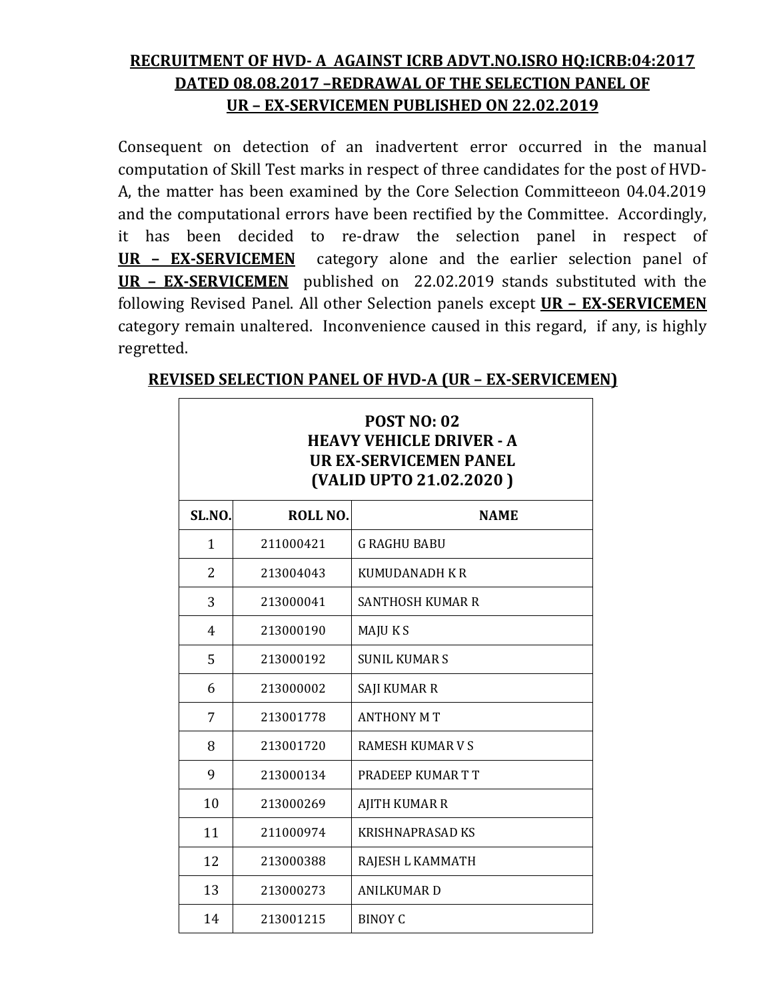## RECRUITMENT OF HVD- A AGAINST ICRB ADVT.NO.ISRO HQ:ICRB:04:2017 DATED 08.08.2017 –REDRAWAL OF THE SELECTION PANEL OF UR – EX-SERVICEMEN PUBLISHED ON 22.02.2019

Consequent on detection of an inadvertent error occurred in the manual computation of Skill Test marks in respect of three candidates for the post of HVD-A, the matter has been examined by the Core Selection Committeeon 04.04.2019 and the computational errors have been rectified by the Committee. Accordingly, it has been decided to re-draw the selection panel in respect of UR – EX-SERVICEMEN category alone and the earlier selection panel of UR - EX-SERVICEMEN published on 22.02.2019 stands substituted with the following Revised Panel. All other Selection panels except **UR - EX-SERVICEMEN** category remain unaltered. Inconvenience caused in this regard, if any, is highly regretted.

| <b>POST NO: 02</b><br><b>HEAVY VEHICLE DRIVER - A</b><br><b>UR EX-SERVICEMEN PANEL</b><br>(VALID UPTO 21.02.2020) |           |                         |  |
|-------------------------------------------------------------------------------------------------------------------|-----------|-------------------------|--|
| SL.NO.                                                                                                            | ROLL NO.  | <b>NAME</b>             |  |
| 1                                                                                                                 | 211000421 | <b>G RAGHU BABU</b>     |  |
| $\overline{2}$                                                                                                    | 213004043 | KUMUDANADH K R          |  |
| 3                                                                                                                 | 213000041 | <b>SANTHOSH KUMAR R</b> |  |
| 4                                                                                                                 | 213000190 | MAJU K S                |  |
| 5                                                                                                                 | 213000192 | <b>SUNIL KUMARS</b>     |  |
| 6                                                                                                                 | 213000002 | SAJI KUMAR R            |  |
| 7                                                                                                                 | 213001778 | <b>ANTHONY MT</b>       |  |
| 8                                                                                                                 | 213001720 | RAMESH KUMAR V S        |  |
| 9                                                                                                                 | 213000134 | PRADEEP KUMAR T T       |  |
| 10                                                                                                                | 213000269 | <b>AJITH KUMAR R</b>    |  |
| 11                                                                                                                | 211000974 | <b>KRISHNAPRASAD KS</b> |  |
| 12                                                                                                                | 213000388 | RAJESH L KAMMATH        |  |
| 13                                                                                                                | 213000273 | <b>ANILKUMAR D</b>      |  |
| 14                                                                                                                | 213001215 | <b>BINOY C</b>          |  |

## REVISED SELECTION PANEL OF HVD-A (UR – EX-SERVICEMEN)